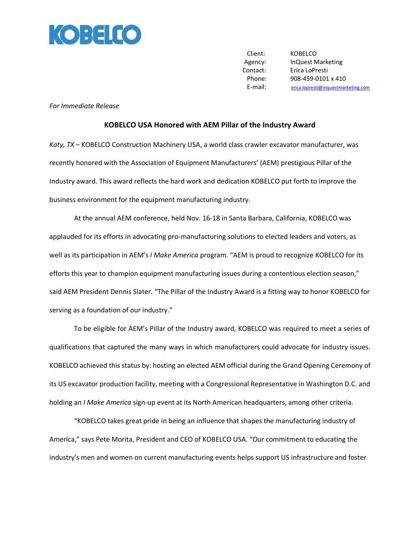

Client: KOBELCO Agency: InQuest Marketing Contact: Erica LoPresti Phone: 908-459-0101 x 410 E-mail: [erica.lopresti@inquestmarketing.com](mailto:erica.lopresti@inquestmarketing.com)

## *For Immediate Release*

## **KOBELCO USA Honored with AEM Pillar of the Industry Award**

*Katy, TX* – KOBELCO Construction Machinery USA, a world class crawler excavator manufacturer, was recently honored with the Association of Equipment Manufacturers' (AEM) prestigious Pillar of the Industry award. This award reflects the hard work and dedication KOBELCO put forth to improve the business environment for the equipment manufacturing industry.

At the annual AEM conference, held Nov. 16-18 in Santa Barbara, California, KOBELCO was applauded for its efforts in advocating pro-manufacturing solutions to elected leaders and voters, as well as its participation in AEM's *I Make America* program. "AEM is proud to recognize KOBELCO for its efforts this year to champion equipment manufacturing issues during a contentious election season," said AEM President Dennis Slater. "The Pillar of the Industry Award is a fitting way to honor KOBELCO for serving as a foundation of our industry."

To be eligible for AEM's Pillar of the Industry award, KOBELCO was required to meet a series of qualifications that captured the many ways in which manufacturers could advocate for industry issues. KOBELCO achieved this status by: hosting an elected AEM official during the Grand Opening Ceremony of its US excavator production facility, meeting with a Congressional Representative in Washington D.C. and holding an *I Make America* sign-up event at its North American headquarters, among other criteria.

"KOBELCO takes great pride in being an influence that shapes the manufacturing industry of America," says Pete Morita, President and CEO of KOBELCO USA. "Our commitment to educating the industry's men and women on current manufacturing events helps support US infrastructure and foster